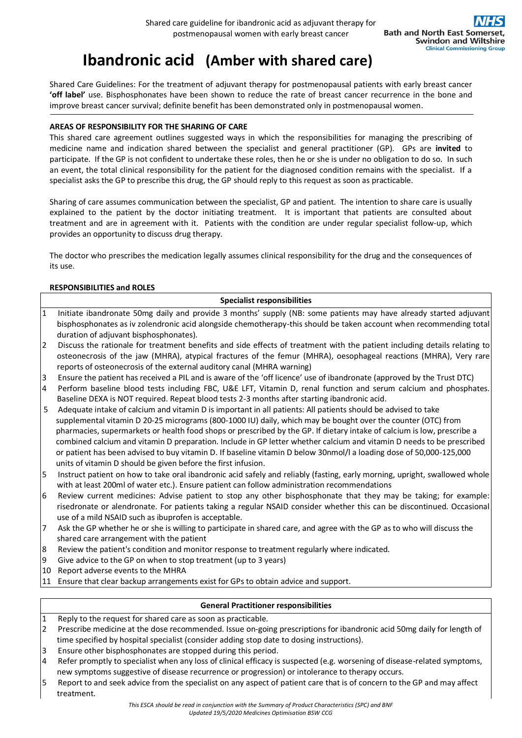# **Ibandronic acid****(Amber with shared care)**

Shared Care Guidelines: For the treatment of adjuvant therapy for postmenopausal patients with early breast cancer **'off label'** use. Bisphosphonates have been shown to reduce the rate of breast cancer recurrence in the bone and improve breast cancer survival; definite benefit has been demonstrated only in postmenopausal women.

# **AREAS OF RESPONSIBILITY FOR THE SHARING OF CARE**

This shared care agreement outlines suggested ways in which the responsibilities for managing the prescribing of medicine name and indication shared between the specialist and general practitioner (GP). GPs are **invited** to participate. If the GP is not confident to undertake these roles, then he or she is under no obligation to do so. In such an event, the total clinical responsibility for the patient for the diagnosed condition remains with the specialist. If a specialist asks the GP to prescribe this drug, the GP should reply to this request as soon as practicable.

Sharing of care assumes communication between the specialist, GP and patient. The intention to share care is usually explained to the patient by the doctor initiating treatment. It is important that patients are consulted about treatment and are in agreement with it. Patients with the condition are under regular specialist follow-up, which provides an opportunity to discuss drug therapy.

The doctor who prescribes the medication legally assumes clinical responsibility for the drug and the consequences of its use.

# **RESPONSIBILITIES and ROLES**

1 Initiate ibandronate 50mg daily and provide 3 months' supply (NB: some patients may have already started adjuvant bisphosphonates as iv zolendronic acid alongside chemotherapy-this should be taken account when recommending total duration of adjuvant bisphosphonates).

**Specialist responsibilities**

- 2 Discuss the rationale for treatment benefits and side effects of treatment with the patient including details relating to osteonecrosis of the jaw (MHRA), atypical fractures of the femur (MHRA), oesophageal reactions (MHRA), Very rare reports of osteonecrosis of the external auditory canal (MHRA warning)
- 3 Ensure the patient has received a PIL and is aware of the 'off licence' use of ibandronate (approved by the Trust DTC)
- 4 Perform baseline blood tests including FBC, U&E LFT, Vitamin D, renal function and serum calcium and phosphates. Baseline DEXA is NOT required. Repeat blood tests 2-3 months after starting ibandronic acid.
- 5 Adequate intake of calcium and vitamin D is important in all patients: All patients should be advised to take supplemental vitamin D 20-25 micrograms (800-1000 IU) daily, which may be bought over the counter (OTC) from pharmacies, supermarkets or health food shops or prescribed by the GP. If dietary intake of calcium is low, prescribe a combined calcium and vitamin D preparation. Include in GP letter whether calcium and vitamin D needs to be prescribed or patient has been advised to buy vitamin D. If baseline vitamin D below 30nmol/l a loading dose of 50,000-125,000 units of vitamin D should be given before the first infusion.
- 5 Instruct patient on how to take oral ibandronic acid safely and reliably (fasting, early morning, upright, swallowed whole with at least 200ml of water etc.). Ensure patient can follow administration recommendations
- 6 Review current medicines: Advise patient to stop any other bisphosphonate that they may be taking; for example: risedronate or alendronate. For patients taking a regular NSAID consider whether this can be discontinued. Occasional use of a mild NSAID such as ibuprofen is acceptable.
- 7 Ask the GP whether he or she is willing to participate in shared care, and agree with the GP as to who will discuss the shared care arrangement with the patient
- 8 Review the patient's condition and monitor response to treatment regularly where indicated.
- 9 Give advice to the GP on when to stop treatment (up to 3 years)
- 10 Report adverse events to the MHRA
- 11 Ensure that clear backup arrangements exist for GPs to obtain advice and support.

# **General Practitioner responsibilities**

- 1 Reply to the request for shared care as soon as practicable.
- 2 Prescribe medicine at the dose recommended. Issue on-going prescriptions for ibandronic acid 50mg daily for length of time specified by hospital specialist (consider adding stop date to dosing instructions).
- 3 Ensure other bisphosphonates are stopped during this period.
- 4 Refer promptly to specialist when any loss of clinical efficacy is suspected (e.g. worsening of disease-related symptoms, new symptoms suggestive of disease recurrence or progression) or intolerance to therapy occurs.
- 5 Report to and seek advice from the specialist on any aspect of patient care that is of concern to the GP and may affect treatment.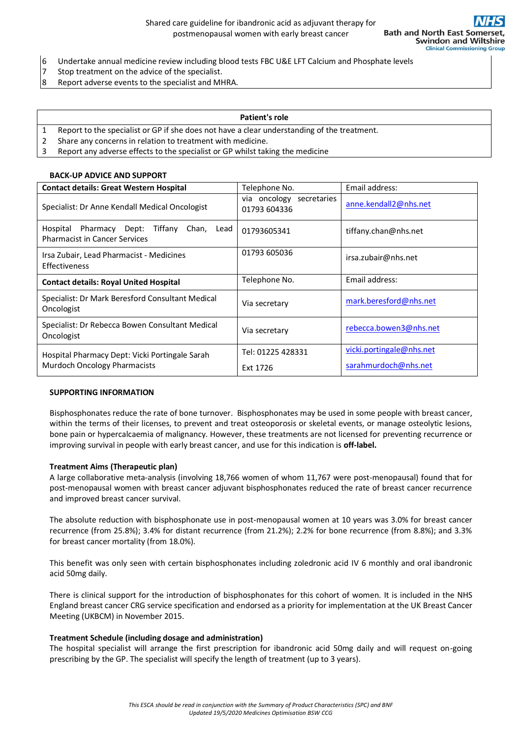- 6 Undertake annual medicine review including blood tests FBC U&E LFT Calcium and Phosphate levels
- 7 Stop treatment on the advice of the specialist.
- 8 Report adverse events to the specialist and MHRA.

#### **Patient's role**

- 1 Report to the specialist or GP if she does not have a clear understanding of the treatment.
- 2 Share any concerns in relation to treatment with medicine.
- 3 Report any adverse effects to the specialist or GP whilst taking the medicine

#### **BACK-UP ADVICE AND SUPPORT**

| <b>Contact details: Great Western Hospital</b>                                                 | Telephone No.                            | Email address:           |
|------------------------------------------------------------------------------------------------|------------------------------------------|--------------------------|
| Specialist: Dr Anne Kendall Medical Oncologist                                                 | via oncology secretaries<br>01793 604336 | anne.kendall2@nhs.net    |
| Pharmacy Dept:<br>Hospital<br>Tiffany<br>Chan,<br>Lead<br><b>Pharmacist in Cancer Services</b> | 01793605341                              | tiffany.chan@nhs.net     |
| Irsa Zubair, Lead Pharmacist - Medicines<br>Effectiveness                                      | 01793 605036                             | irsa.zubair@nhs.net      |
| <b>Contact details: Royal United Hospital</b>                                                  | Telephone No.                            | Email address:           |
| Specialist: Dr Mark Beresford Consultant Medical<br>Oncologist                                 | Via secretary                            | mark.beresford@nhs.net   |
| Specialist: Dr Rebecca Bowen Consultant Medical<br>Oncologist                                  | Via secretary                            | rebecca.bowen3@nhs.net   |
| Hospital Pharmacy Dept: Vicki Portingale Sarah<br><b>Murdoch Oncology Pharmacists</b>          | Tel: 01225 428331                        | vicki.portingale@nhs.net |
|                                                                                                | Ext 1726                                 | sarahmurdoch@nhs.net     |

## **SUPPORTING INFORMATION**

Bisphosphonates reduce the rate of bone turnover. Bisphosphonates may be used in some people with breast cancer, within the terms of their licenses, to prevent and treat osteoporosis or skeletal events, or manage osteolytic lesions, bone pain or hypercalcaemia of malignancy. However, these treatments are not licensed for preventing recurrence or improving survival in people with early breast cancer, and use for this indication is **off-label.**

#### **Treatment Aims (Therapeutic plan)**

A large collaborative meta-analysis (involving 18,766 women of whom 11,767 were post-menopausal) found that for post-menopausal women with breast cancer adjuvant bisphosphonates reduced the rate of breast cancer recurrence and improved breast cancer survival.

The absolute reduction with bisphosphonate use in post-menopausal women at 10 years was 3.0% for breast cancer recurrence (from 25.8%); 3.4% for distant recurrence (from 21.2%); 2.2% for bone recurrence (from 8.8%); and 3.3% for breast cancer mortality (from 18.0%).

This benefit was only seen with certain bisphosphonates including zoledronic acid IV 6 monthly and oral ibandronic acid 50mg daily.

There is clinical support for the introduction of bisphosphonates for this cohort of women. It is included in the NHS England breast cancer CRG service specification and endorsed as a priority for implementation at the UK Breast Cancer Meeting (UKBCM) in November 2015.

#### **Treatment Schedule (including dosage and administration)**

The hospital specialist will arrange the first prescription for ibandronic acid 50mg daily and will request on-going prescribing by the GP. The specialist will specify the length of treatment (up to 3 years).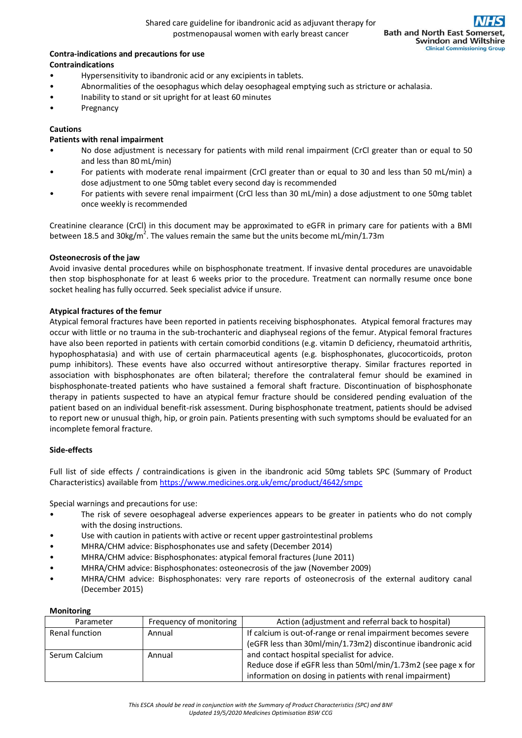### **Contra-indications and precautions for use Contraindications**

- Hypersensitivity to ibandronic acid or any excipients in tablets.
- Abnormalities of the oesophagus which delay oesophageal emptying such as stricture or achalasia.
- Inability to stand or sit upright for at least 60 minutes
- **Pregnancy**

# **Cautions**

# **Patients with renal impairment**

- No dose adjustment is necessary for patients with mild renal impairment (CrCl greater than or equal to 50 and less than 80 mL/min)
- For patients with moderate renal impairment (CrCl greater than or equal to 30 and less than 50 mL/min) a dose adjustment to one 50mg tablet every second day is recommended
- For patients with severe renal impairment (CrCl less than 30 mL/min) a dose adjustment to one 50mg tablet once weekly is recommended

Creatinine clearance (CrCl) in this document may be approximated to eGFR in primary care for patients with a BMI between 18.5 and 30kg/m<sup>2</sup>. The values remain the same but the units become mL/min/1.73m

# **Osteonecrosis of the jaw**

Avoid invasive dental procedures while on bisphosphonate treatment. If invasive dental procedures are unavoidable then stop bisphosphonate for at least 6 weeks prior to the procedure. Treatment can normally resume once bone socket healing has fully occurred. Seek specialist advice if unsure.

# **Atypical fractures of the femur**

Atypical femoral fractures have been reported in patients receiving bisphosphonates. Atypical femoral fractures may occur with little or no trauma in the sub-trochanteric and diaphyseal regions of the femur. Atypical femoral fractures have also been reported in patients with certain comorbid conditions (e.g. vitamin D deficiency, rheumatoid arthritis, hypophosphatasia) and with use of certain pharmaceutical agents (e.g. bisphosphonates, glucocorticoids, proton pump inhibitors). These events have also occurred without antiresorptive therapy. Similar fractures reported in association with bisphosphonates are often bilateral; therefore the contralateral femur should be examined in bisphosphonate-treated patients who have sustained a femoral shaft fracture. Discontinuation of bisphosphonate therapy in patients suspected to have an atypical femur fracture should be considered pending evaluation of the patient based on an individual benefit-risk assessment. During bisphosphonate treatment, patients should be advised to report new or unusual thigh, hip, or groin pain. Patients presenting with such symptoms should be evaluated for an incomplete femoral fracture.

# **Side-effects**

Full list of side effects / contraindications is given in the ibandronic acid 50mg tablets SPC (Summary of Product Characteristics) available from<https://www.medicines.org.uk/emc/product/4642/smpc>

Special warnings and precautions for use:

- The risk of severe oesophageal adverse experiences appears to be greater in patients who do not comply with the dosing instructions.
- Use with caution in patients with active or recent upper gastrointestinal problems
- MHRA/CHM advice: Bisphosphonates use and safety (December 2014)
- MHRA/CHM advice: Bisphosphonates: atypical femoral fractures (June 2011)
- MHRA/CHM advice: Bisphosphonates: osteonecrosis of the jaw (November 2009)
- MHRA/CHM advice: Bisphosphonates: very rare reports of osteonecrosis of the external auditory canal (December 2015)

# **Monitoring**

| Parameter      | Frequency of monitoring | Action (adjustment and referral back to hospital)             |
|----------------|-------------------------|---------------------------------------------------------------|
| Renal function | Annual                  | If calcium is out-of-range or renal impairment becomes severe |
|                |                         | (eGFR less than 30ml/min/1.73m2) discontinue ibandronic acid  |
| Serum Calcium  | Annual                  | and contact hospital specialist for advice.                   |
|                |                         | Reduce dose if eGFR less than 50ml/min/1.73m2 (see page x for |
|                |                         | information on dosing in patients with renal impairment)      |